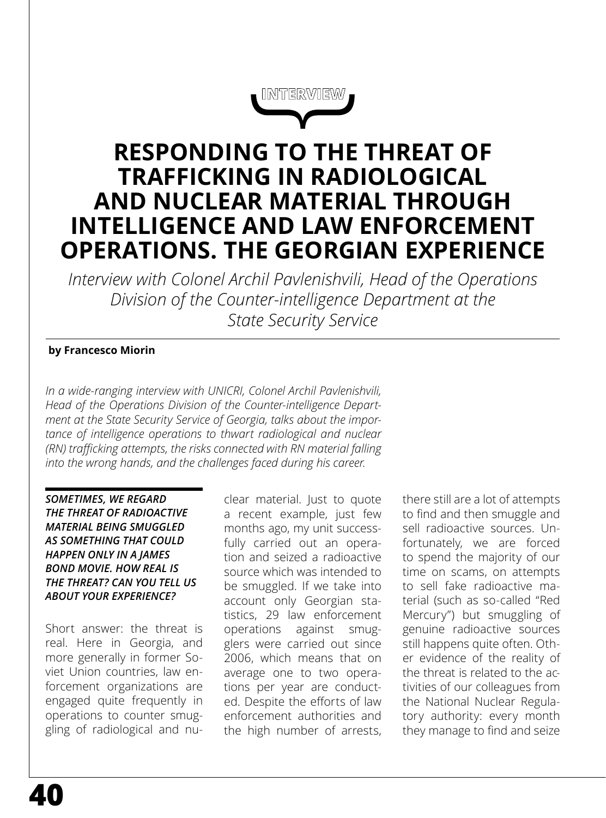**INTERVIEW**

# **RESPONDING TO THE THREAT OF TRAFFICKING IN RADIOLOGICAL AND NUCLEAR MATERIAL THROUGH INTELLIGENCE AND LAW ENFORCEMENT OPERATIONS. THE GEORGIAN EXPERIENCE**

*Interview with Colonel Archil Pavlenishvili, Head of the Operations Division of the Counter-intelligence Department at the State Security Service*

# **by Francesco Miorin**

*In a wide-ranging interview with UNICRI, Colonel Archil Pavlenishvili, Head of the Operations Division of the Counter-intelligence Department at the State Security Service of Georgia, talks about the importance of intelligence operations to thwart radiological and nuclear (RN) trafficking attempts, the risks connected with RN material falling into the wrong hands, and the challenges faced during his career.*

*SOMETIMES, WE REGARD THE THREAT OF RADIOACTIVE MATERIAL BEING SMUGGLED AS SOMETHING THAT COULD HAPPEN ONLY IN A JAMES BOND MOVIE. HOW REAL IS THE THREAT? CAN YOU TELL US ABOUT YOUR EXPERIENCE?*

Short answer: the threat is real. Here in Georgia, and more generally in former Soviet Union countries, law enforcement organizations are engaged quite frequently in operations to counter smuggling of radiological and nu-

clear material. Just to quote a recent example, just few months ago, my unit successfully carried out an operation and seized a radioactive source which was intended to be smuggled. If we take into account only Georgian statistics, 29 law enforcement operations against smugglers were carried out since 2006, which means that on average one to two operations per year are conducted. Despite the efforts of law enforcement authorities and the high number of arrests,

there still are a lot of attempts to find and then smuggle and sell radioactive sources. Unfortunately, we are forced to spend the majority of our time on scams, on attempts to sell fake radioactive material (such as so-called "Red Mercury") but smuggling of genuine radioactive sources still happens quite often. Other evidence of the reality of the threat is related to the activities of our colleagues from the National Nuclear Regulatory authority: every month they manage to find and seize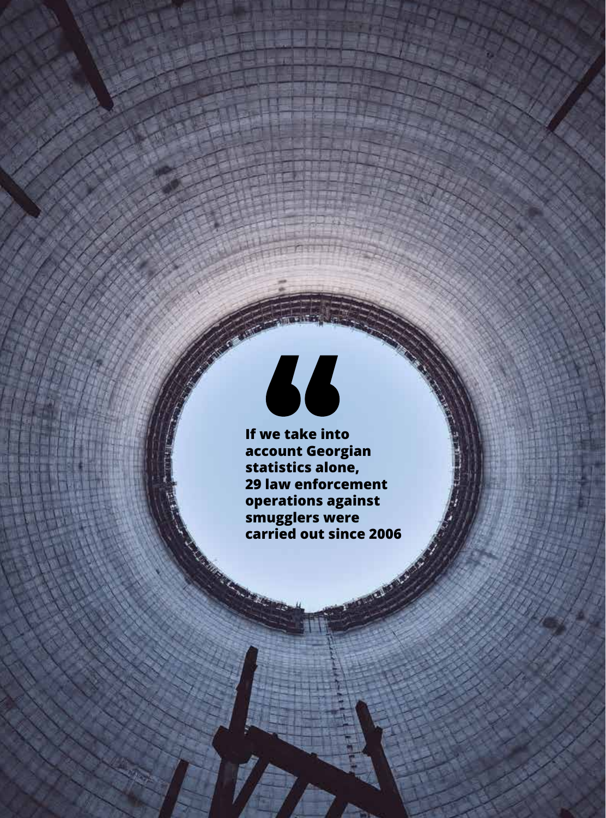

 $\overline{n}$  v.f.  $\overline{z}$ 

CHEMICAL CHEMICAL, RADIOLOGICAL, RADIOLOGICAL, RADIOLOGICAL, RADIOLOGICAL, RADIOLOGICAL AND NUCLEAR RISK MITIG

THE PAST , THE PAST OF PRESENT AND THE FUTURE ARE IN OUR

**If we take into account Georgian statistics alone, 29 law enforcement operations against smugglers were carried out since 2006Comments** 

**41**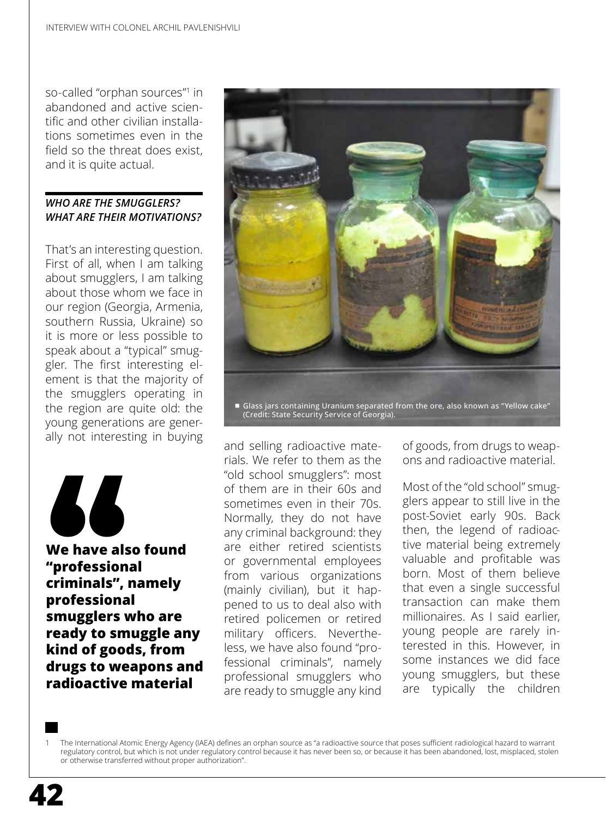so-called "orphan sources"1 in abandoned and active scientific and other civilian installations sometimes even in the field so the threat does exist, and it is quite actual.

# *WHO ARE THE SMUGGLERS? WHAT ARE THEIR MOTIVATIONS?*

That's an interesting question. First of all, when I am talking about smugglers, I am talking about those whom we face in our region (Georgia, Armenia, southern Russia, Ukraine) so it is more or less possible to speak about a "typical" smuggler. The first interesting element is that the majority of the smugglers operating in the region are quite old: the young generations are generally not interesting in buying



**We have also found "professional criminals", namely professional smugglers who are ready to smuggle any kind of goods, from drugs to weapons and radioactive material**



(Credit: State Security Service of Georgia).

and selling radioactive materials. We refer to them as the "old school smugglers": most of them are in their 60s and sometimes even in their 70s. Normally, they do not have any criminal background: they are either retired scientists or governmental employees from various organizations (mainly civilian), but it happened to us to deal also with retired policemen or retired military officers. Nevertheless, we have also found "professional criminals", namely professional smugglers who are ready to smuggle any kind

of goods, from drugs to weapons and radioactive material.

Most of the "old school" smugglers appear to still live in the post-Soviet early 90s. Back then, the legend of radioactive material being extremely valuable and profitable was born. Most of them believe that even a single successful transaction can make them millionaires. As I said earlier, young people are rarely interested in this. However, in some instances we did face young smugglers, but these are typically the children

1 The International Atomic Energy Agency (IAEA) defines an orphan source as "a radioactive source that poses sufficient radiological hazard to warrant regulatory control, but which is not under regulatory control because it has never been so, or because it has been abandoned, lost, misplaced, stolen or otherwise transferred without proper authorization".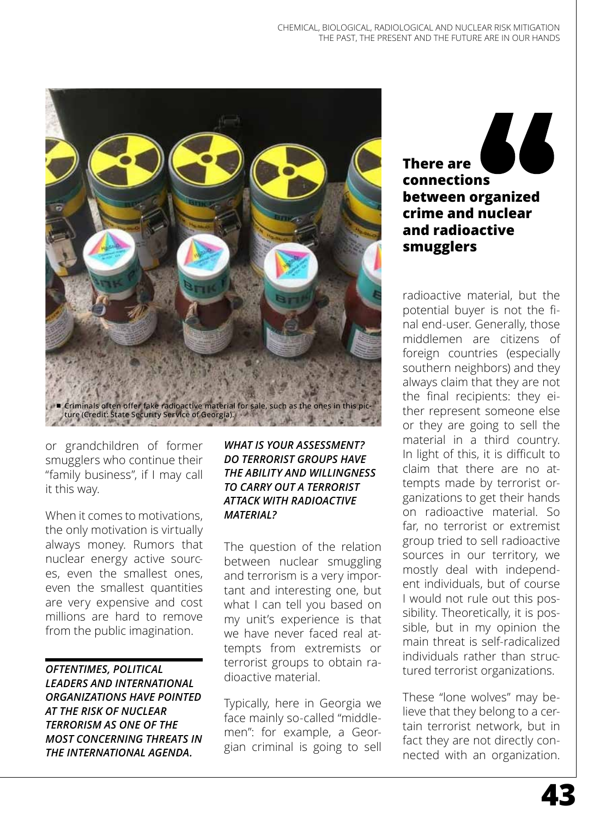

or grandchildren of former smugglers who continue their "family business", if I may call it this way.

When it comes to motivations, the only motivation is virtually always money. Rumors that nuclear energy active sources, even the smallest ones, even the smallest quantities are very expensive and cost millions are hard to remove from the public imagination.

*OFTENTIMES, POLITICAL LEADERS AND INTERNATIONAL ORGANIZATIONS HAVE POINTED AT THE RISK OF NUCLEAR TERRORISM AS ONE OF THE MOST CONCERNING THREATS IN THE INTERNATIONAL AGENDA.* 

#### *WHAT IS YOUR ASSESSMENT? DO TERRORIST GROUPS HAVE THE ABILITY AND WILLINGNESS TO CARRY OUT A TERRORIST ATTACK WITH RADIOACTIVE MATERIAL?*

The question of the relation between nuclear smuggling and terrorism is a very important and interesting one, but what I can tell you based on my unit's experience is that we have never faced real attempts from extremists or terrorist groups to obtain radioactive material.

Typically, here in Georgia we face mainly so-called "middlemen": for example, a Georgian criminal is going to sell

**There are connections between organized crime and nuclear and radioactive smugglers** 

radioactive material, but the potential buyer is not the final end-user. Generally, those middlemen are citizens of foreign countries (especially southern neighbors) and they always claim that they are not the final recipients: they either represent someone else or they are going to sell the material in a third country. In light of this, it is difficult to claim that there are no attempts made by terrorist organizations to get their hands on radioactive material. So far, no terrorist or extremist group tried to sell radioactive sources in our territory, we mostly deal with independent individuals, but of course I would not rule out this possibility. Theoretically, it is possible, but in my opinion the main threat is self-radicalized individuals rather than structured terrorist organizations.

These "lone wolves" may believe that they belong to a certain terrorist network, but in fact they are not directly connected with an organization.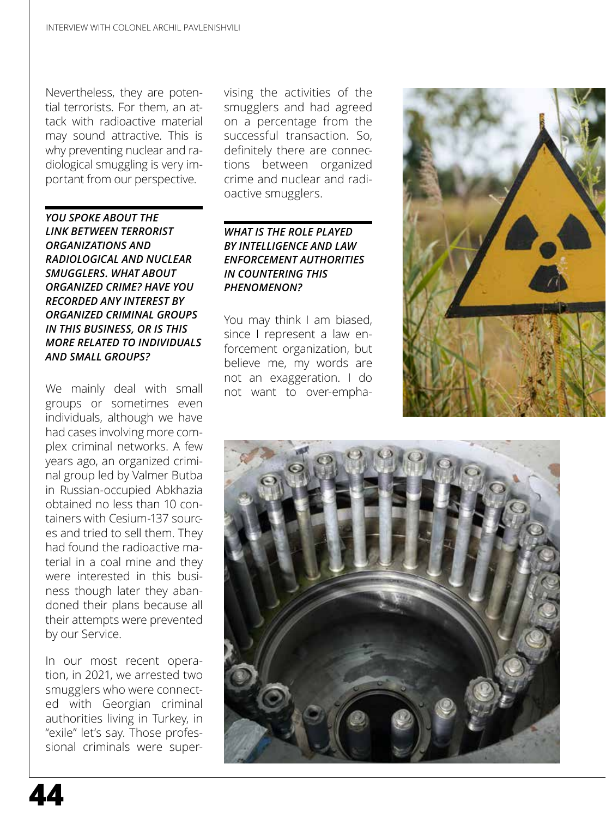Nevertheless, they are potential terrorists. For them, an attack with radioactive material may sound attractive. This is why preventing nuclear and radiological smuggling is very important from our perspective.

*YOU SPOKE ABOUT THE LINK BETWEEN TERRORIST ORGANIZATIONS AND RADIOLOGICAL AND NUCLEAR SMUGGLERS. WHAT ABOUT ORGANIZED CRIME? HAVE YOU RECORDED ANY INTEREST BY ORGANIZED CRIMINAL GROUPS IN THIS BUSINESS, OR IS THIS MORE RELATED TO INDIVIDUALS AND SMALL GROUPS?*

We mainly deal with small groups or sometimes even individuals, although we have had cases involving more complex criminal networks. A few years ago, an organized criminal group led by Valmer Butba in Russian-occupied Abkhazia obtained no less than 10 containers with Cesium-137 sources and tried to sell them. They had found the radioactive material in a coal mine and they were interested in this business though later they abandoned their plans because all their attempts were prevented by our Service.

In our most recent operation, in 2021, we arrested two smugglers who were connected with Georgian criminal authorities living in Turkey, in "exile" let's say. Those professional criminals were supervising the activities of the smugglers and had agreed on a percentage from the successful transaction. So, definitely there are connections between organized crime and nuclear and radioactive smugglers.

# *WHAT IS THE ROLE PLAYED BY INTELLIGENCE AND LAW ENFORCEMENT AUTHORITIES IN COUNTERING THIS PHENOMENON?*

You may think I am biased, since I represent a law enforcement organization, but believe me, my words are not an exaggeration. I do not want to over-empha-



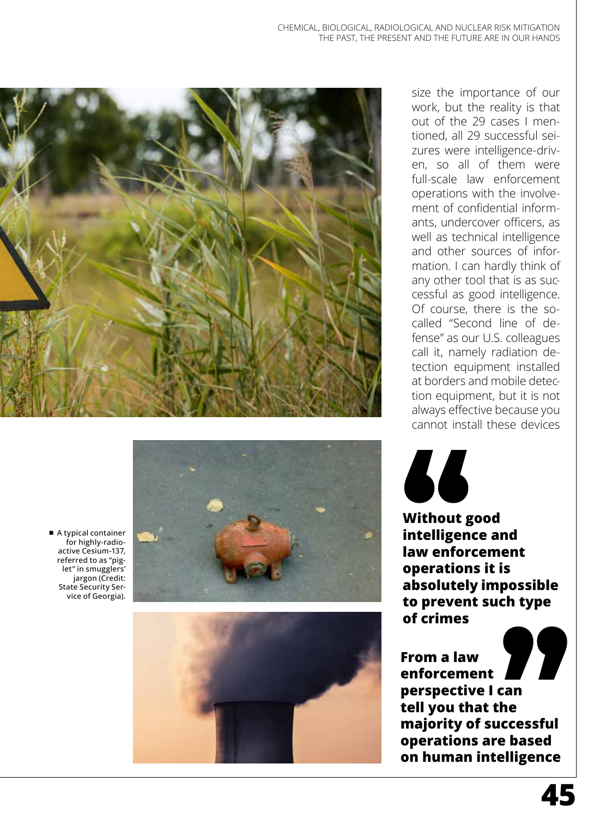



■ A typical container for highly-radio active Cesium-137, referred to as "pig let" in smugglers' jargon (Credit: State Security Ser vice of Georgia).



size the importance of our work, but the reality is that out of the 29 cases I men tioned, all 29 successful sei zures were intelligence-driv en, so all of them were full-scale law enforcement operations with the involve ment of confidential inform ants, undercover officers, as well as technical intelligence and other sources of information. I can hardly think of any other tool that is as successful as good intelligence. Of course, there is the socalled "Second line of defense" as our U.S. colleagues call it, namely radiation de tection equipment installed at borders and mobile detection equipment, but it is not always effective because you cannot install these devices



**Without good intelligence and law enforcement operations it is absolutely impossible to prevent such type of crimes**

À. **From a law enforcement perspective I can tell you that the majority of successful operations are based on human intelligence**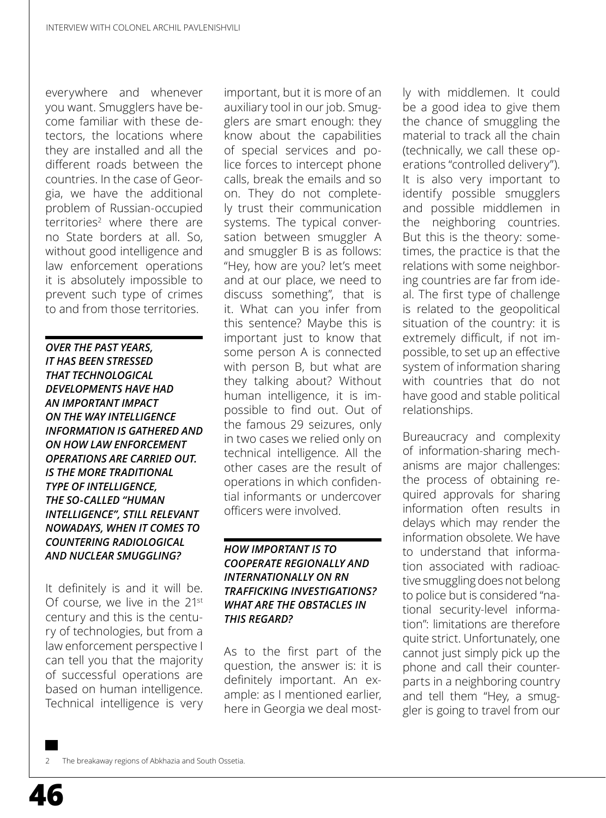everywhere and whenever you want. Smugglers have become familiar with these detectors, the locations where they are installed and all the different roads between the countries. In the case of Georgia, we have the additional problem of Russian-occupied territories<sup>2</sup> where there are no State borders at all. So, without good intelligence and law enforcement operations it is absolutely impossible to prevent such type of crimes to and from those territories.

*OVER THE PAST YEARS, IT HAS BEEN STRESSED THAT TECHNOLOGICAL DEVELOPMENTS HAVE HAD AN IMPORTANT IMPACT ON THE WAY INTELLIGENCE INFORMATION IS GATHERED AND ON HOW LAW ENFORCEMENT OPERATIONS ARE CARRIED OUT. IS THE MORE TRADITIONAL TYPE OF INTELLIGENCE, THE SO-CALLED "HUMAN INTELLIGENCE", STILL RELEVANT NOWADAYS, WHEN IT COMES TO COUNTERING RADIOLOGICAL AND NUCLEAR SMUGGLING?*

It definitely is and it will be. Of course, we live in the 21<sup>st</sup> century and this is the century of technologies, but from a law enforcement perspective I can tell you that the majority of successful operations are based on human intelligence. Technical intelligence is very

important, but it is more of an auxiliary tool in our job. Smugglers are smart enough: they know about the capabilities of special services and police forces to intercept phone calls, break the emails and so on. They do not completely trust their communication systems. The typical conversation between smuggler A and smuggler B is as follows: "Hey, how are you? let's meet and at our place, we need to discuss something", that is it. What can you infer from this sentence? Maybe this is important just to know that some person A is connected with person B, but what are they talking about? Without human intelligence, it is impossible to find out. Out of the famous 29 seizures, only in two cases we relied only on technical intelligence. All the other cases are the result of operations in which confidential informants or undercover officers were involved.

### *HOW IMPORTANT IS TO COOPERATE REGIONALLY AND INTERNATIONALLY ON RN TRAFFICKING INVESTIGATIONS? WHAT ARE THE OBSTACLES IN THIS REGARD?*

As to the first part of the question, the answer is: it is definitely important. An example: as I mentioned earlier, here in Georgia we deal most-

ly with middlemen. It could be a good idea to give them the chance of smuggling the material to track all the chain (technically, we call these operations "controlled delivery"). It is also very important to identify possible smugglers and possible middlemen in the neighboring countries. But this is the theory: sometimes, the practice is that the relations with some neighboring countries are far from ideal. The first type of challenge is related to the geopolitical situation of the country: it is extremely difficult, if not impossible, to set up an effective system of information sharing with countries that do not have good and stable political relationships.

Bureaucracy and complexity of information-sharing mechanisms are major challenges: the process of obtaining required approvals for sharing information often results in delays which may render the information obsolete. We have to understand that information associated with radioactive smuggling does not belong to police but is considered "national security-level information": limitations are therefore quite strict. Unfortunately, one cannot just simply pick up the phone and call their counterparts in a neighboring country and tell them "Hey, a smuggler is going to travel from our

The breakaway regions of Abkhazia and South Ossetia.